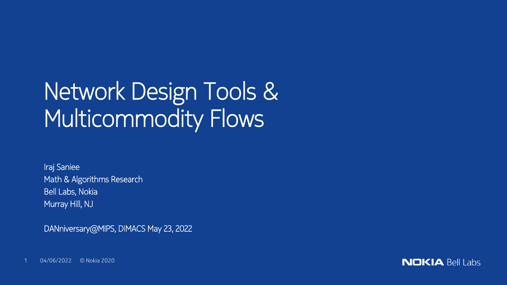# Network Design Tools & Multicommodity Flows

Iraj Saniee Math & Algorithms Research Bell Labs, Nokia Murray Hill, NJ

DANniversary@MIPS, DIMACS May 23, 2022

1 04/06/2022 © Nokia 2020

**NOKIA Bell Labs**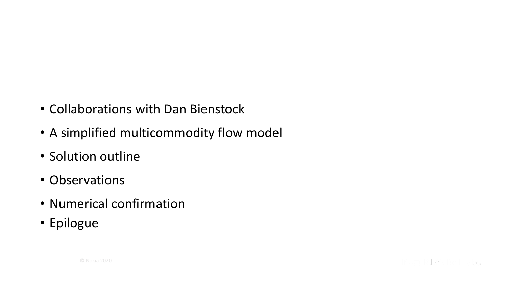- Collaborations with Dan Bienstock
- A simplified multicommodity flow model
- Solution outline
- Observations
- Numerical confirmation
- Epilogue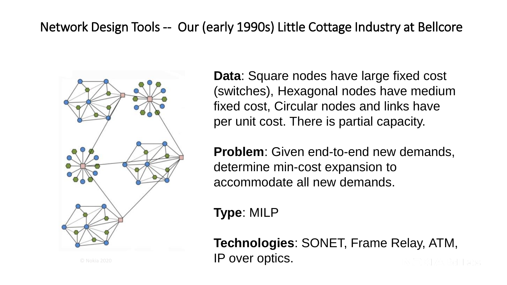#### Network Design Tools -- Our (early 1990s) Little Cottage Industry at Bellcore



**Data**: Square nodes have large fixed cost (switches), Hexagonal nodes have medium fixed cost, Circular nodes and links have per unit cost. There is partial capacity.

**Problem**: Given end-to-end new demands, determine min-cost expansion to accommodate all new demands.

**Type**: MILP

**Technologies**: SONET, Frame Relay, ATM, IP over optics.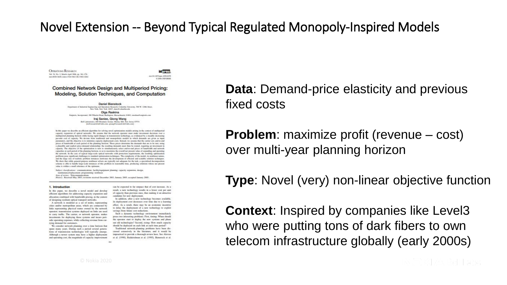#### Novel Extension -- Beyond Typical Regulated Monopoly-Inspired Models

**OPERATIONS RESEARCH** Vol. 54, No. 2, March-April 2006, pp. 261-276 panel (this 14-40) Language (424-440) and related once

**Informs** not 10.1287(opt). 0350-0259 o you increased

**Combined Network Design and Multiperiod Pricing:** Modeling, Solution Techniques, and Computation

> **Daniel Rienstock** Department of Industrial Equipmented and Operations Research, Columbia University, 500 W. 1306, Source New York, New York, 10027, Associated and a risk Olga Raskina Emptoris, Incorporated, 200 Wheeler Read, Burlington, Massachusetts (1183), starkins@emptoris.com Iraj Saniee, Qiong Wang Ball Laboratories, 600 Mountain Avenue, Manny 582, New Jersey 67974 (Soft meanth heli-laboren, quany@newack heli-laborene)

In this way we describe an efficient shortflux for relating wood antisticution models white in the context of multiverted capacity expansion of optical networks. We assume that the network operator must make investment decisions over a moltpered planning betwee while facing rapid changes in transmission technology, as evidenced by a steadily decreasing per-anit cost of canady. We deviate from traditional and monopolistic models in which demands are styon as input parameters, and the objective is to minimize capacity deployment costs. Instead, we assume that the carrier sets end-to-end prices of bundwidth at each period of the planning borizon. These prices determine the demands that are to be met, using a planible and explicit price-demand relationship; the resulting demands must than be rented, requiring an investment is capacity. The objective of the optimization is now to simultaneously select end-to-end prices of handwidth and network capacities at each period of the planning horizon, so as to maximize the overall net present value of expanding and operating the network. In the case of repical large-scale certical networks with protection requirements, the resulting optimization problems pose significant challenges to standard optimization techniques. The complexity of the model, its nonlinear nature, and the large size of tradistic problem instances motivates the development of afficient and scalable solution techniques We show that while seneral-purpose regulator solvers are repleady not adequate for the task, a specialized decomposition scheme is able to handle large-scale instances of this problem in reasonable time, producing solutions whose net present value is within a small tolerance of the optimum.

Subject classification: communications; facility/equipment planning: capacity expansion, design, maintenanco/replacement: programming: nonlinear. Ann of miles: Telecommunications

History: Received May 2003; revisions received December 2003, January 2005; accepted January 2005.

#### 1. Introduction

In this paper, we describe a novel model and develop efficient algorithms for addressing capacity expansion and allocation combined with bandwidth pricing, in the context of designing resilient optical transport networks.

A network is modeled as a set of nodes, remesenting cities and/or metropolitan areas, which are connected by links remesenting physical routes owned by the network coverator: teameratization availation developed on finder any mood to carry traffic. The carrier, or network operator, makes investments for deploying those systems and incurs periodic operating expenses, while collecting revenue from carrying demand for customers.

We consider network planning over a time horizon that spans many years. During such a period several generations of transmission technologies will typically emerge. Although a newer system may have a higher deployment and operating cost, the magnitude of capacity improvement

can be expected to far outrage that of cost increase. As a result, a new technology results in a lower cost per unit of capacity than previous ones, thus making it an attractive candidate for new deployment.

its deployment cost decreases over time due to a learning effect. As a result, there may be an economic incentive to delay the deployment of a new technology to exploit savines from future cost reductions.

Such a dynamic technology environment immediately poses two interesting problems. First, timing: When should the operator start to deploy the new systems and phase out old technologies? Second, sixing: How much capacity should be deployed on each link at each time period? Traditional network-planning problems have been discussed extensively in the literature, and it would be impractical to provide a thorough review here. See Alexras et al. (1998), Bahkrishnan et al. (1995), Bienstock et al.

In addition, after a new technology becomes available,

**Data**: Demand-price elasticity and previous fixed costs

**Problem**: maximize profit (revenue – cost) over multi-year planning horizon

**Type**: Novel (very) non-linear objective function

**Context**: Inspired by companies like Level3 who were putting tons of dark fibers to own telecom infrastructure globally (early 2000s)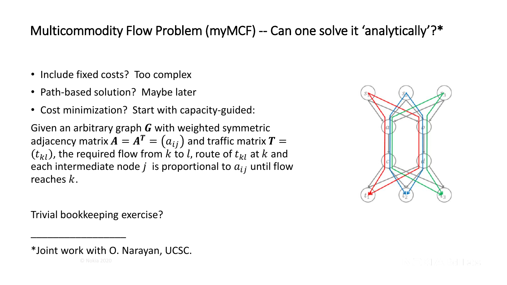## Multicommodity Flow Problem (myMCF) -- Can one solve it 'analytically'?\*

- Include fixed costs? Too complex
- Path-based solution? Maybe later
- Cost minimization? Start with capacity-guided:

Given an arbitrary graph  $G$  with weighted symmetric adjacency matrix  $\pmb{A} = \pmb{A^T} = \big(a_{ij}\big)$  and traffic matrix  $\pmb{T} = \pmb{A}$  $(t_{kl})$ , the required flow from k to l, route of  $t_{kl}$  at k and each intermediate node  $j$  is proportional to  $a_{ij}$  until flow reaches  $k$ .



Trivial bookkeeping exercise?

\_\_\_\_\_\_\_\_\_\_\_\_\_\_\_\_\_

<sup>\*</sup>Joint work with O. Narayan, UCSC.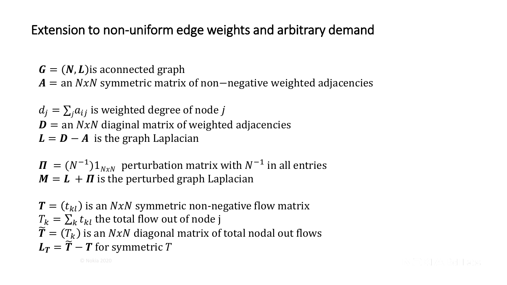### Extension to non-uniform edge weights and arbitrary demand

 $\mathbf{G} = (\mathbf{N}, \mathbf{L})$  is aconnected graph

 $A =$  an  $NxN$  symmetric matrix of non−negative weighted adjacencies

 $d_i = \sum_i a_{ij}$  is weighted degree of node j  $\mathbf{D}$  = an  $NxN$  diaginal matrix of weighted adjacencies  $L = D - A$  is the graph Laplacian

 $\boldsymbol{\Pi} \ = (N^{-1}) 1_{N \times N} \ \ \text{perturbation matrix with} \ N^{-1}$  in all entries  $M = L + \Pi$  is the perturbed graph Laplacian

 $\mathbf{T} = (t_{kl})$  is an  $NxN$  symmetric non-negative flow matrix  $T_k = \sum_k t_{kl}$  the total flow out of node j  $\widetilde{\mathbf{T}} = (T_k)$  is an NxN diagonal matrix of total nodal out flows  $L_T = \widetilde{T} - T$  for symmetric T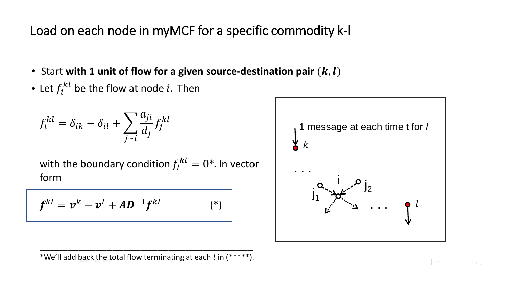Load on each node in myMCF for a specific commodity k-l

- Start with 1 unit of flow for a given source-destination pair  $(k, l)$
- Let  $f_i^{kl}$  be the flow at node i. Then

$$
f_i^{kl} = \delta_{ik} - \delta_{il} + \sum_{j \sim i} \frac{a_{ji}}{d_j} f_j^{kl}
$$

with the boundary condition  $f_l^{kl} = 0^*$ . In vector form

$$
\boldsymbol{f}^{kl} = \boldsymbol{v}^k - \boldsymbol{v}^l + \boldsymbol{A}\boldsymbol{D}^{-1}\boldsymbol{f}^{kl} \qquad (*)
$$



\*We'll add back the total flow terminating at each  $l$  in (\*\*\*\*\*). \_\_\_\_\_\_\_\_\_\_\_\_\_\_\_\_\_\_\_\_\_\_\_\_\_\_\_\_\_\_\_\_\_\_\_\_\_\_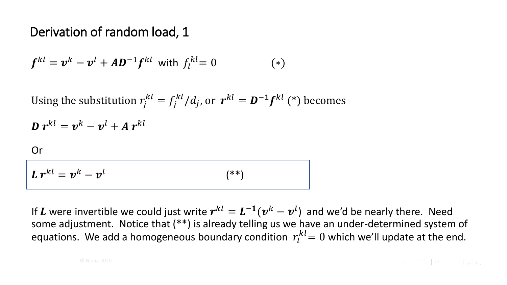#### Derivation of random load, 1

$$
\boldsymbol{f}^{kl} = \boldsymbol{v}^k - \boldsymbol{v}^l + A \boldsymbol{D}^{-1} \boldsymbol{f}^{kl} \text{ with } f_l^{kl} = 0 \tag{*}
$$

Using the substitution  $r_j^{kl} = f_j^{kl}/d_j$ , or  $r^{kl} = D^{-1} f^{kl}$  (\*) becomes

 $\bm{D} \; \bm{r}^{kl} = \bm{v}^k - \bm{v}^l + \bm{A} \; \bm{r}^{kl}$ 

#### Or

$$
L r^{kl} = v^k - v^l \tag{**}
$$

If  $L$  were invertible we could just write  $r^{kl} = L^{-1}(v^k - v^l)$  and we'd be nearly there. Need some adjustment. Notice that (\*\*) is already telling us we have an under-determined system of equations. We add a homogeneous boundary condition  $r_l^{kl}$  = 0 which we'll update at the end.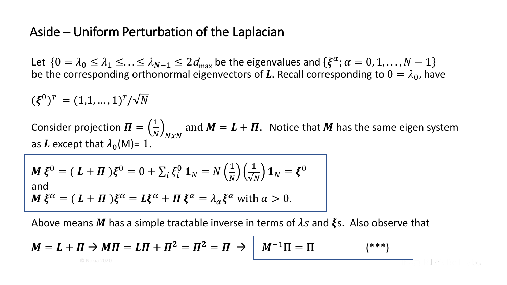#### Aside – Uniform Perturbation of the Laplacian

Let  $\{0 = \lambda_0 \leq \lambda_1 \leq \ldots \leq \lambda_{N-1} \leq 2d_{\max}$  be the eigenvalues and  $\{\xi^\alpha;\alpha = 0,1,\ldots,N-1\}$ be the corresponding orthonormal eigenvectors of L. Recall corresponding to  $0 = \lambda_0$ , have

 $(\xi^0)^T = (1,1,...,1)^T/\sqrt{N}$ Consider projection  $\boldsymbol{\varPi}=\left(\frac{1}{N}\right)$  $N$   $/ N x N$ and  $M = L + \Pi$ . Notice that M has the same eigen system as L except that  $\lambda_0(M)=1$ .

$$
\mathbf{M} \boldsymbol{\xi}^0 = (\mathbf{L} + \mathbf{\Pi}) \boldsymbol{\xi}^0 = 0 + \sum_i \xi_i^0 \mathbf{1}_N = N \left(\frac{1}{N}\right) \left(\frac{1}{\sqrt{N}}\right) \mathbf{1}_N = \boldsymbol{\xi}^0
$$
  
and  

$$
\mathbf{M} \boldsymbol{\xi}^\alpha = (\mathbf{L} + \mathbf{\Pi}) \boldsymbol{\xi}^\alpha = \mathbf{L} \boldsymbol{\xi}^\alpha + \mathbf{\Pi} \boldsymbol{\xi}^\alpha = \lambda_\alpha \boldsymbol{\xi}^\alpha \text{ with } \alpha > 0.
$$

Above means M has a simple tractable inverse in terms of  $\lambda s$  and  $\xi s$ . Also observe that

$$
M = L + \Pi \rightarrow M\Pi = L\Pi + \Pi^2 = \Pi^2 = \Pi \rightarrow \boxed{M^{-1}\Pi = \Pi} \qquad (*)
$$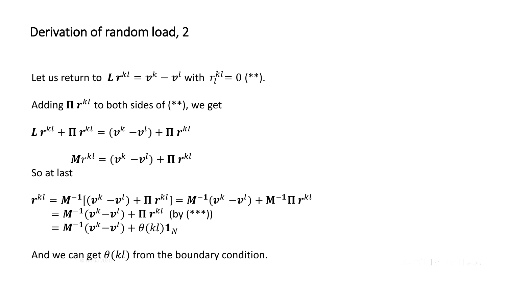#### Derivation of random load, 2

Let us return to  $\boldsymbol{L} \, \boldsymbol{r}^{kl} = \boldsymbol{v}^k - \boldsymbol{v}^l$  with  $r_l^{kl} = 0$  (\*\*).

Adding  $\boldsymbol{\Pi} \: \boldsymbol{r}^{kl}$  to both sides of (\*\*), we get

$$
L r^{kl} + \Pi r^{kl} = (v^k - v^l) + \Pi r^{kl}
$$

$$
Mr^{kl} = (\mathbf{v}^k - \mathbf{v}^l) + \mathbf{\Pi} r^{kl}
$$

So at last

$$
r^{kl} = M^{-1}[(v^k - v^l) + \Pi r^{kl}] = M^{-1}(v^k - v^l) + M^{-1}\Pi r^{kl}
$$
  
=  $M^{-1}(v^k - v^l) + \Pi r^{kl}$  (by (\*\*)  
=  $M^{-1}(v^k - v^l) + \theta(kl)\mathbf{1}_N$ 

And we can get  $\theta(kl)$  from the boundary condition.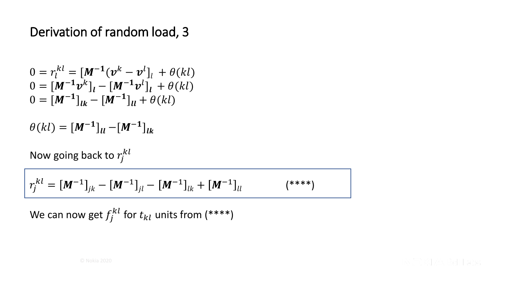#### Derivation of random load, 3

$$
0 = r_l^{kl} = [M^{-1}(\nu^k - \nu^l]_l + \theta(kl)
$$
  
\n
$$
0 = [M^{-1}\nu^k]_l - [M^{-1}\nu^l]_l + \theta(kl)
$$
  
\n
$$
0 = [M^{-1}]_{lk} - [M^{-1}]_{ll} + \theta(kl)
$$

$$
\theta(kl) = [M^{-1}]_{ll} - [M^{-1}]_{lk}
$$

Now going back to  $r_j^{kl}$ 

$$
r_j^{kl} = [M^{-1}]_{jk} - [M^{-1}]_{jl} - [M^{-1}]_{lk} + [M^{-1}]_{ll}
$$
  $(^{***})$ 

We can now get  $f_j^{kl}$  for  $t_{kl}$  units from (\*\*\*\*)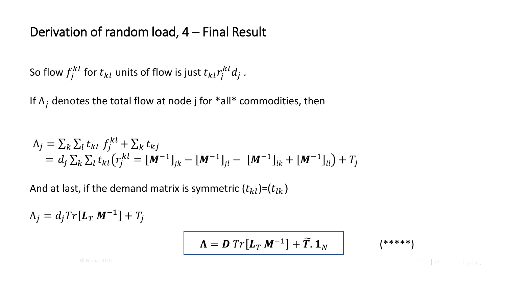#### Derivation of random load, 4 – Final Result

So flow  $f^{kl}_j$  for  $t_{kl}$  units of flow is just  $t_{kl}r^{kl}_jd_j$  .

If  $\Lambda_i$  denotes the total flow at node j for \*all\* commodities, then

$$
\Lambda_j = \sum_k \sum_l t_{kl} f_j^{kl} + \sum_k t_{kj}
$$
  
=  $d_j \sum_k \sum_l t_{kl} (r_j^{kl} = [\mathbf{M}^{-1}]_{jk} - [\mathbf{M}^{-1}]_{jl} - [\mathbf{M}^{-1}]_{lk} + [\mathbf{M}^{-1}]_{ll}) + T_j$ 

And at last, if the demand matrix is symmetric  $(t_{kl})=(t_{lk})$ 

 $\Lambda_j = d_j Tr[L_T M^{-1}] + T_j$ 

$$
\Lambda = D Tr[L_T M^{-1}] + \widetilde{T} \mathbf{.} \mathbf{1}_N \qquad \qquad (*****)
$$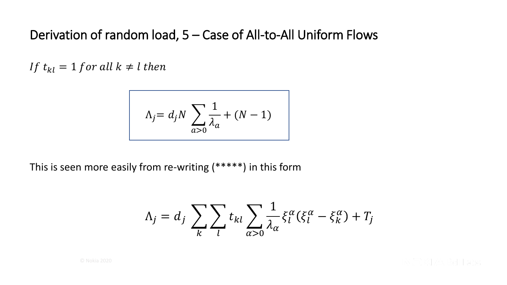#### Derivation of random load, 5 – Case of All-to-All Uniform Flows

If  $t_{kl} = 1$  for all  $k \neq l$  then

$$
\Lambda_j = d_j N \sum_{a>0} \frac{1}{\lambda_a} + (N-1)
$$

This is seen more easily from re-writing (\*\*\*\*\*) in this form

$$
\Lambda_j = d_j \sum_k \sum_l t_{kl} \sum_{\alpha > 0} \frac{1}{\lambda_\alpha} \xi_l^\alpha (\xi_l^\alpha - \xi_k^\alpha) + T_j
$$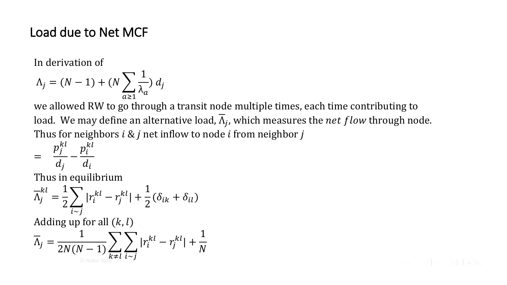#### Load due to Net MCF

In derivation of

$$
\Lambda_j = (N-1) + (N \sum_{a \ge 1} \frac{1}{\lambda_a}) d_j
$$

we allowed RW to go through a transit node multiple times, each time contributing to load. We may define an alternative load,  $\Lambda_j$ , which measures the  $net$   $flow$  through node. Thus for neighbors  $i \& j$  net inflow to node  $i$  from neighbor  $j$ 

$$
= \frac{p_j^{kl}}{d_j} - \frac{p_i^{kl}}{d_i}
$$

Thus in equilibrium

$$
\overline{\Lambda}_j^{kl} = \frac{1}{2} \sum_{i \sim j} |r_i^{kl} - r_j^{kl}| + \frac{1}{2} (\delta_{ik} + \delta_{il})
$$

Adding up for all  $(k, l)$ 

$$
\overline{\Lambda}_j = \frac{1}{2N(N-1)} \sum_{k \neq l} \sum_{i \sim j} |r_i^{kl} - r_j^{kl}| + \frac{1}{N}
$$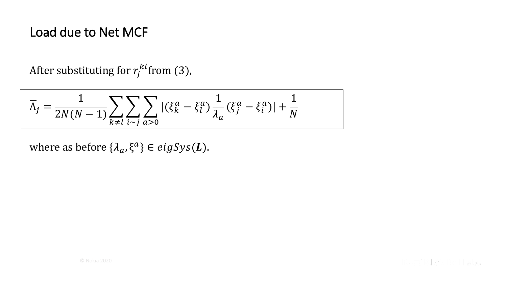#### Load due to Net MCF

After substituting for  $r^{kl}_{j}$ from (3),

$$
\overline{\Lambda}_j=\frac{1}{2N(N-1)}\sum_{k\neq l}\sum_{i\sim j}\sum_{a>0} |(\xi_k^a-\xi_l^a)\frac{1}{\lambda_a}(\xi_j^a-\xi_i^a)|+\frac{1}{N}
$$

where as before  $\{\lambda_a, \xi^a\} \in eigSys(\mathbf{L}).$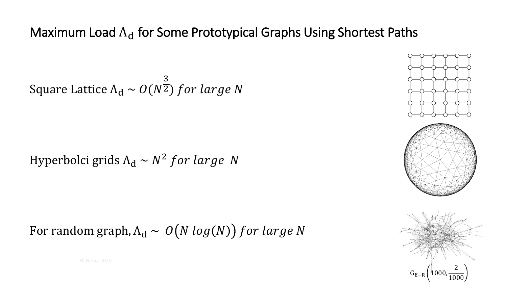#### Maximum Load  $\Lambda_d$  for Some Prototypical Graphs Using Shortest Paths

Square Lattice  $\Lambda_{\rm d} \sim O(N)$ 3  $\overline{2})$  for large N

Hyperbolci grids  $\Lambda_d \sim N^2$  for large N

For random graph,  $\Lambda_d \sim O(N \log(N))$  for large N

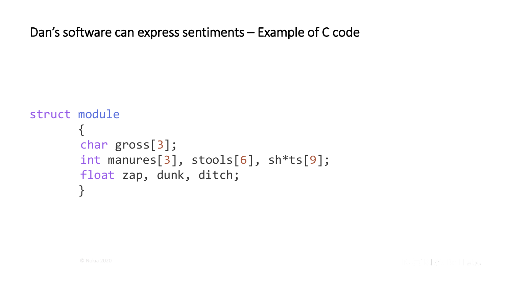Dan's software can express sentiments – Example of C code

```
struct module
{
char gross[3]; 
int manures[3], stools[6], sh*ts[9]; 
float zap, dunk, ditch; 
 }
```